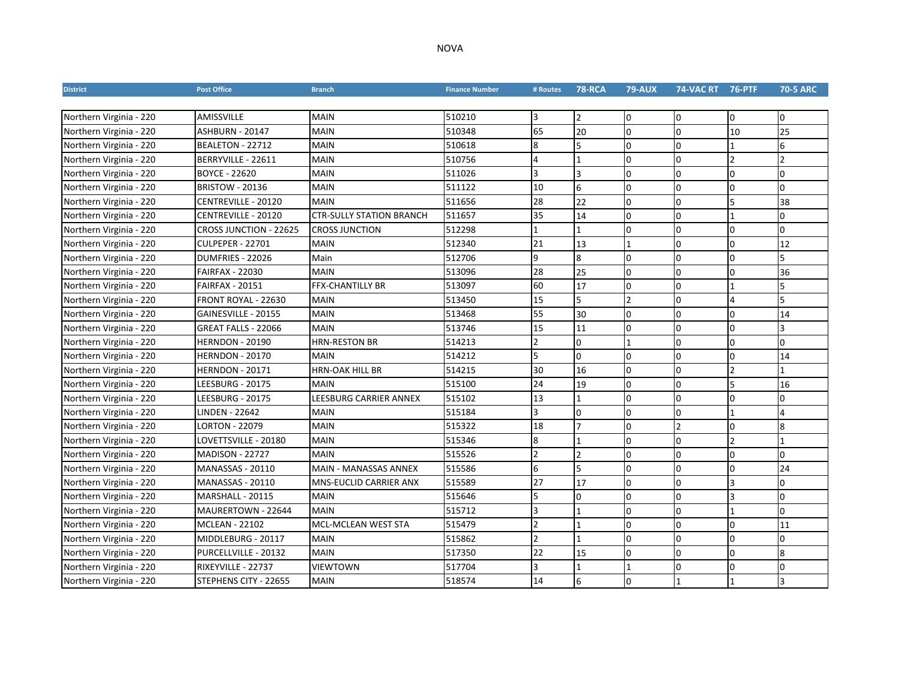| <b>District</b>         | <b>Post Office</b>      | <b>Branch</b>                   | <b>Finance Number</b> | # Routes       | <b>78-RCA</b>  | <b>79-AUX</b> | 74-VAC RT 76-PTF |                | <b>70-5 ARC</b> |
|-------------------------|-------------------------|---------------------------------|-----------------------|----------------|----------------|---------------|------------------|----------------|-----------------|
|                         |                         |                                 |                       |                |                |               |                  |                |                 |
| Northern Virginia - 220 | <b>AMISSVILLE</b>       | <b>MAIN</b>                     | 510210                | 3              | $\overline{2}$ | O             | O                | 0              | 0               |
| Northern Virginia - 220 | <b>ASHBURN - 20147</b>  | <b>MAIN</b>                     | 510348                | 65             | 20             | <sup>0</sup>  | $\Omega$         | 10             | 25              |
| Northern Virginia - 220 | BEALETON - 22712        | <b>MAIN</b>                     | 510618                | 8              | 5              | l0            | $\Omega$         |                | 6               |
| Northern Virginia - 220 | BERRYVILLE - 22611      | <b>MAIN</b>                     | 510756                | $\overline{4}$ |                | l0            | l0               | $\mathfrak{p}$ | $\overline{2}$  |
| Northern Virginia - 220 | <b>BOYCE - 22620</b>    | <b>MAIN</b>                     | 511026                | l3             | lЗ             | l0            | l0               | l0             | 0               |
| Northern Virginia - 220 | <b>BRISTOW - 20136</b>  | <b>MAIN</b>                     | 511122                | 10             | 6              | O             | 0                | 0              | 0               |
| Northern Virginia - 220 | CENTREVILLE - 20120     | <b>MAIN</b>                     | 511656                | 28             | 22             | O             | $\Omega$         |                | 38              |
| Northern Virginia - 220 | CENTREVILLE - 20120     | <b>CTR-SULLY STATION BRANCH</b> | 511657                | 35             | 14             | $\Omega$      | 0                |                | 0               |
| Northern Virginia - 220 | CROSS JUNCTION - 22625  | <b>CROSS JUNCTION</b>           | 512298                |                |                | l0            | 0                | 0              | $\Omega$        |
| Northern Virginia - 220 | <b>CULPEPER - 22701</b> | <b>MAIN</b>                     | 512340                | 21             | 13             |               | 0                | 0              | 12              |
| Northern Virginia - 220 | DUMFRIES - 22026        | Main                            | 512706                | <b>q</b>       | 8              | n.            | $\Omega$         | $\Omega$       | 5               |
| Northern Virginia - 220 | <b>FAIRFAX - 22030</b>  | <b>MAIN</b>                     | 513096                | 28             | 25             | <sup>0</sup>  | $\Omega$         | $\Omega$       | 36              |
| Northern Virginia - 220 | <b>FAIRFAX - 20151</b>  | <b>FFX-CHANTILLY BR</b>         | 513097                | 60             | 17             | l0            | n                |                | 5               |
| Northern Virginia - 220 | FRONT ROYAL - 22630     | <b>MAIN</b>                     | 513450                | 15             | 5              |               | $\Omega$         | 4              | 5               |
| Northern Virginia - 220 | GAINESVILLE - 20155     | <b>MAIN</b>                     | 513468                | 55             | 30             | $\Omega$      | l0               | $\Omega$       | 14              |
| Northern Virginia - 220 | GREAT FALLS - 22066     | <b>MAIN</b>                     | 513746                | 15             | 11             | <sup>0</sup>  | $\Omega$         | $\Omega$       | l3              |
| Northern Virginia - 220 | <b>HERNDON - 20190</b>  | HRN-RESTON BR                   | 514213                | $\overline{2}$ | $\Omega$       | <b>11</b>     | l0               | 0              | l0              |
| Northern Virginia - 220 | <b>HERNDON - 20170</b>  | <b>MAIN</b>                     | 514212                | 5              | $\overline{0}$ | $\Omega$      | $\Omega$         | $\Omega$       | 14              |
| Northern Virginia - 220 | <b>HERNDON - 20171</b>  | HRN-OAK HILL BR                 | 514215                | 30             | 16             | $\Omega$      | $\Omega$         | $\mathfrak{p}$ | $\overline{1}$  |
| Northern Virginia - 220 | LEESBURG - 20175        | <b>MAIN</b>                     | 515100                | 24             | 19             | O             | l0               | 5              | 16              |
| Northern Virginia - 220 | LEESBURG - 20175        | LEESBURG CARRIER ANNEX          | 515102                | 13             | 11             | O             | I٥               | ١O             | 10              |
| Northern Virginia - 220 | LINDEN - 22642          | <b>MAIN</b>                     | 515184                | 3              | 0              | I0            | 0                |                | 4               |
| Northern Virginia - 220 | <b>LORTON - 22079</b>   | <b>MAIN</b>                     | 515322                | 18             | $\overline{7}$ | I٥            | $\overline{2}$   | $\Omega$       | 8               |
| Northern Virginia - 220 | LOVETTSVILLE - 20180    | <b>MAIN</b>                     | 515346                | 8              |                | <sup>0</sup>  | $\Omega$         | $\mathfrak{p}$ |                 |
| Northern Virginia - 220 | <b>MADISON - 22727</b>  | <b>MAIN</b>                     | 515526                | $\overline{2}$ | $\overline{2}$ | <sup>0</sup>  | $\Omega$         | $\Omega$       | <sup>0</sup>    |
| Northern Virginia - 220 | <b>MANASSAS - 20110</b> | <b>MAIN - MANASSAS ANNEX</b>    | 515586                | 6              | 5              | <sup>0</sup>  | <sup>0</sup>     | $\Omega$       | 24              |
| Northern Virginia - 220 | <b>MANASSAS - 20110</b> | <b>MNS-EUCLID CARRIER ANX</b>   | 515589                | 27             | 17             | <sup>0</sup>  | $\Omega$         | 3              | l0              |
| Northern Virginia - 220 | MARSHALL - 20115        | <b>MAIN</b>                     | 515646                | 5              | $\Omega$       | l0            | 0                |                | 0               |
| Northern Virginia - 220 | MAURERTOWN - 22644      | <b>MAIN</b>                     | 515712                | 13             | $\overline{1}$ | l0            | n                |                | l0              |
| Northern Virginia - 220 | <b>MCLEAN - 22102</b>   | MCL-MCLEAN WEST STA             | 515479                | 2              | $\overline{1}$ | 0             | $\Omega$         | <sup>o</sup>   | 11              |
| Northern Virginia - 220 | MIDDLEBURG - 20117      | <b>MAIN</b>                     | 515862                | $\overline{2}$ |                | $\Omega$      | 0                | $\Omega$       | 0               |
| Northern Virginia - 220 | PURCELLVILLE - 20132    | <b>MAIN</b>                     | 517350                | 22             | 15             | 0             | 0                | 0              | 8               |
| Northern Virginia - 220 | RIXEYVILLE - 22737      | VIEWTOWN                        | 517704                | lЗ             |                |               | 0                | 0              | 0               |
| Northern Virginia - 220 | STEPHENS CITY - 22655   | <b>MAIN</b>                     | 518574                | 14             | 6              | IΩ            |                  |                | Ι3              |